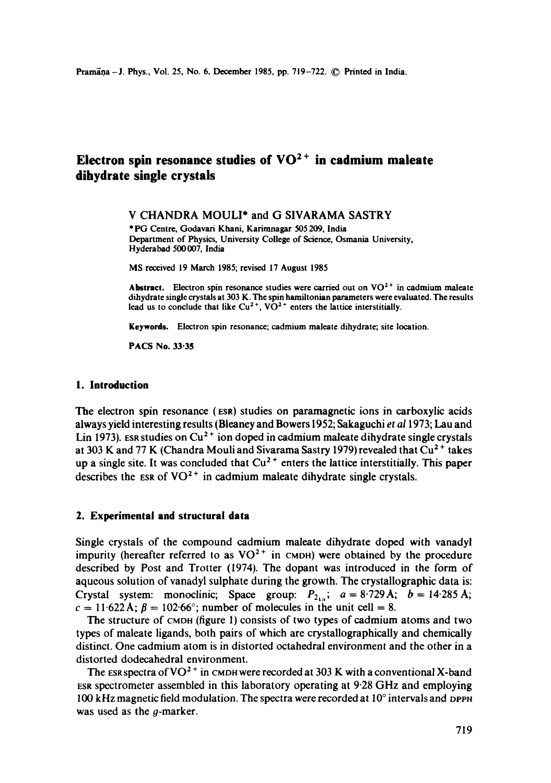# Electron spin resonance studies of VO<sup>2+</sup> in cadmium maleate **dihydrate single crystals**

V CHANDRA MOULI\* and G SIVARAMA SASTRY

\* PG Centre, Godavari Khani, Karimnagar 505209, India Department of Physics, University College of Science, Osmanla University, Hyderabad 500007, India

MS received 19 March 1985; revised 17 August 1985

Abstract. Electron spin resonance studies were carried out on  $VO<sup>2+</sup>$  in cadmium maleate dihydrate single crystals at 303 K. The spin hamiltonian parameters were evaluated. The results lead us to conclude that like  $Cu^{2+}$ ,  $V\dot{O}^{2+}$  enters the lattice interstitially.

**Keywords.** Electron spin resonance; cadmium maleate dihydrate; site location.

**PACS No. 33"35** 

#### **1. Introduction**

The electron spin resonance (ESR) studies on paramagnetic ions in carboxylic acids always yield interesting results (Bieaney and Bowers 1952; Sakaguchi *et ai* 1973; Lau and Lin 1973). Est studies on  $Cu<sup>2+</sup>$  ion doped in cadmium maleate dihydrate single crystals at 303 K and 77 K (Chandra Mouli and Sivarama Sastry 1979) revealed that  $Cu<sup>2+</sup>$  takes up a single site. It was concluded that  $Cu^{2+}$  enters the lattice interstitially. This paper describes the ESR of  $VO^{2+}$  in cadmium maleate dihydrate single crystals.

#### **2. Experimental and structural data**

Single crystals of the compound cadmium maleate dihydrate doped with vanadyl impurity (hereafter referred to as  $VO^{2+}$  in CMDH) were obtained by the procedure described by Post and Trotter (1974). The dopant was introduced in the form of aqueous solution of vanadyl sulphate during the growth. The crystallographic data is: Crystal system: monoclinic; Space group:  $P_{2_{1i}}$ ;  $a = 8.729 \text{ A}$ ;  $b = 14.285 \text{ A}$ ;  $c = 11.622$  Å;  $\beta = 102.66^{\circ}$ ; number of molecules in the unit cell = 8.

The structure of CMDH (figure 1) consists of two types of cadmium atoms and two types of maleate ligands, both pairs of which are crystallographically and chemically distinct. One cadmium atom is in distorted octahedral environment and the other in a distorted dodecahedral environment.

The ESR spectra of VO<sup>2+</sup> in CMDH were recorded at 303 K with a conventional X-band ESR spectrometer assembled in this laboratory operating at 9.28 GHz and employing 100 kHz magnetic field modulation. The spectra were recorded at  $10^{\circ}$  intervals and ppph was used as the *q*-marker.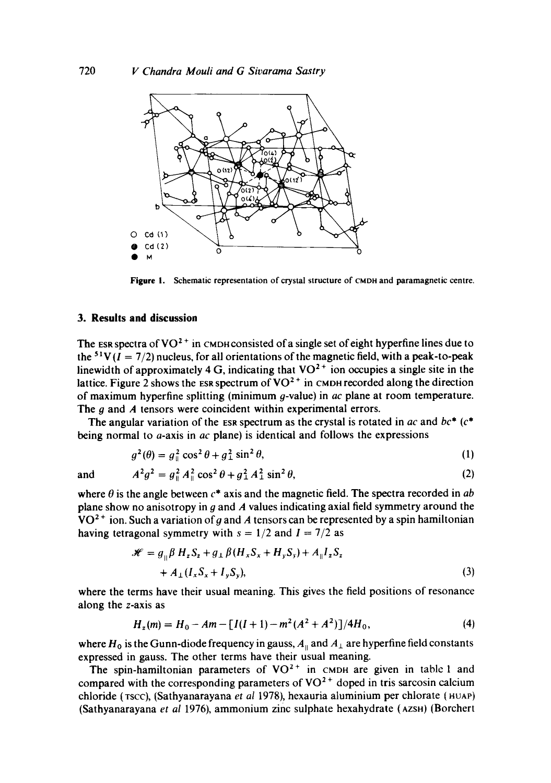

**Figure** I. Schematic representation of crystal structure of CMDH and paramagnetic centre.

## **3. Results and discussion**

The ESR spectra of  $VO^{2+}$  in CMDH consisted of a single set of eight hyperfine lines due to the <sup>51</sup>V( $I = 7/2$ ) nucleus, for all orientations of the magnetic field, with a peak-to-peak linewidth of approximately 4 G, indicating that  $VO<sup>2+</sup>$  ion occupies a single site in the lattice. Figure 2 shows the ESR spectrum of  $VO^{2+}$  in CMDH recorded along the direction of maximum hyperfine splitting (minimum q-value) in *ac* plane at room temperature. The  $q$  and  $\vec{A}$  tensors were coincident within experimental errors.

The angular variation of the ESR spectrum as the crystal is rotated in *ac* and *be\* (c\**  being normal to a-axis in *ac* plane) is identical and follows the expressions

$$
g^2(\theta) = g_{\parallel}^2 \cos^2 \theta + g_{\perp}^2 \sin^2 \theta,\tag{1}
$$

and  $A^2g^2 = g_{\mu}^2 A_{\mu}^2 \cos^2 \theta + g_{\mu}^2 A_{\mu}^2 \sin^2 \theta,$  (2)

where  $\theta$  is the angle between  $c^*$  axis and the magnetic field. The spectra recorded in  $ab$ plane show no anisotropy in  $g$  and  $A$  values indicating axial field symmetry around the  $VO<sup>2+</sup>$  ion. Such a variation of g and A tensors can be represented by a spin hamiltonian having tetragonal symmetry with  $s = 1/2$  and  $I = 7/2$  as

$$
\mathcal{H} = g_{\parallel} \beta H_z S_z + g_{\perp} \beta (H_x S_x + H_y S_y) + A_{\parallel} I_z S_z + A_{\perp} (I_x S_x + I_y S_y),
$$
\n(3)

where the terms have their usual meaning. This gives the field positions of resonance along the z-axis as

$$
H_z(m) = H_0 - Am - [I(I+1) - m^2(A^2 + A^2)]/4H_0,
$$
\n(4)

where  $H_0$  is the Gunn-diode frequency in gauss,  $A_{\parallel}$  and  $A_{\perp}$  are hyperfine field constants expressed in gauss. The other terms have their usual meaning.

The spin-hamiltonian parameters of  $VO<sup>2+</sup>$  in CMDH are given in table 1 and compared with the corresponding parameters of  $VO<sup>2+</sup>$  doped in tris sarcosin calcium chloride (TSCC), (Sathyanarayana *et al* 1978), hexauria aluminium per chlorate (HUAP) (Sathyanarayana *et al* 1976), ammonium zinc sulphate hexahydrate (AZSn) (Borchert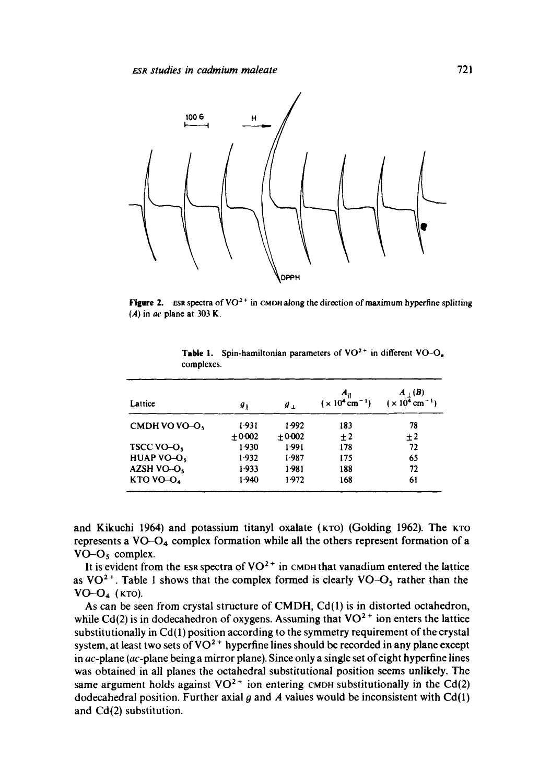

Figure 2. ESR spectra of VO<sup>2+</sup> in CMDH along the direction of maximum hyperfine splitting (A) in *ac* plane at 303 K.

| Lattice               | $g_{\parallel}$ | $\boldsymbol{g}_{\perp}$ | A <sub>II</sub><br>$(x 104 cm-1)$ | $A_+(B)$<br>$(x 104 cm-1)$ |
|-----------------------|-----------------|--------------------------|-----------------------------------|----------------------------|
| CMDH VO VO-O,         | 1.931           | 1.992                    | 183                               | 78                         |
|                       | $+0.002$        | $+0.002$                 | $\pm 2$                           | $+2$                       |
| TSCC VO-O             | 1.930           | 1.991                    | 178                               | 72                         |
| <b>HUAP VO-O.</b>     | 1.932           | 1.987                    | 175                               | 65                         |
| AZSH VO-O,            | 1.933           | 1.981                    | 188                               | 72                         |
| KTO VO-O <sub>4</sub> | 1.940           | 1.972                    | 168                               | 61                         |

Table 1. Spin-hamiltonian parameters of  $VO^{2+}$  in different  $VO-O<sub>n</sub>$ . complexes.

and Kikuchi 1964) and potassium titanyl oxalate (KTO) (Golding 1962). The KTO represents a  $VO-O<sub>4</sub>$  complex formation while all the others represent formation of a  $VO-O<sub>5</sub>$  complex.

It is evident from the ESR spectra of  $VO<sup>2+</sup>$  in CMDH that vanadium entered the lattice as  $VO^{2+}$ . Table 1 shows that the complex formed is clearly  $VO-O_5$  rather than the  $VO-O<sub>4</sub>$  (KTO).

As can be seen from crystal structure of CMDH, Cd(1) is in distorted octahedron, while Cd(2) is in dodecahedron of oxygens. Assuming that  $VO<sup>2+</sup>$  ion enters the lattice substitutionally in Cd(1) position according to the symmetry requirement of the crystal system, at least two sets of  $VO^2$ <sup>+</sup> hyperfine lines should be recorded in any plane except in  $ac$ -plane ( $ac$ -plane being a mirror plane). Since only a single set of eight hyperfine lines was obtained in all planes the octahedral substitutional position seems unlikely. The same argument holds against  $VO^{2+}$  ion entering CMDH substitutionally in the Cd(2) dodecahedral position. Further axial g and A values would be inconsistent with  $Cd(1)$ and Cd(2) substitution.